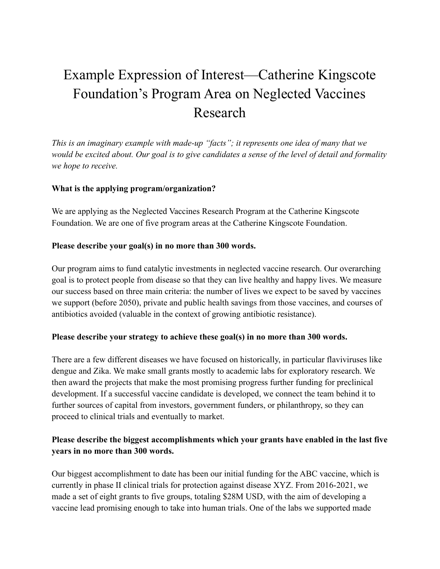# Example Expression of Interest—Catherine Kingscote Foundation's Program Area on Neglected Vaccines Research

*This is an imaginary example with made-up "facts"; it represents one idea of many that we would be excited about. Our goal is to give candidates a sense of the level of detail and formality we hope to receive.*

## **What is the applying program/organization?**

We are applying as the Neglected Vaccines Research Program at the Catherine Kingscote Foundation. We are one of five program areas at the Catherine Kingscote Foundation.

### **Please describe your goal(s) in no more than 300 words.**

Our program aims to fund catalytic investments in neglected vaccine research. Our overarching goal is to protect people from disease so that they can live healthy and happy lives. We measure our success based on three main criteria: the number of lives we expect to be saved by vaccines we support (before 2050), private and public health savings from those vaccines, and courses of antibiotics avoided (valuable in the context of growing antibiotic resistance).

#### **Please describe your strategy to achieve these goal(s) in no more than 300 words.**

There are a few different diseases we have focused on historically, in particular flaviviruses like dengue and Zika. We make small grants mostly to academic labs for exploratory research. We then award the projects that make the most promising progress further funding for preclinical development. If a successful vaccine candidate is developed, we connect the team behind it to further sources of capital from investors, government funders, or philanthropy, so they can proceed to clinical trials and eventually to market.

## **Please describe the biggest accomplishments which your grants have enabled in the last five years in no more than 300 words.**

Our biggest accomplishment to date has been our initial funding for the ABC vaccine, which is currently in phase II clinical trials for protection against disease XYZ. From 2016-2021, we made a set of eight grants to five groups, totaling \$28M USD, with the aim of developing a vaccine lead promising enough to take into human trials. One of the labs we supported made